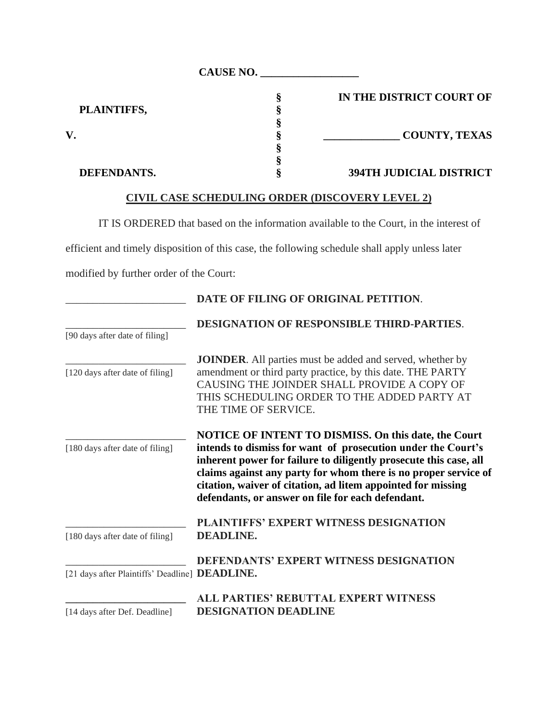| <b>CAUSE NO.</b>   |  |                                |
|--------------------|--|--------------------------------|
|                    |  | IN THE DISTRICT COURT OF       |
| PLAINTIFFS,        |  |                                |
|                    |  |                                |
| V.                 |  | <b>COUNTY, TEXAS</b>           |
|                    |  |                                |
|                    |  |                                |
| <b>DEFENDANTS.</b> |  | <b>394TH JUDICIAL DISTRICT</b> |

## **CIVIL CASE SCHEDULING ORDER (DISCOVERY LEVEL 2)**

IT IS ORDERED that based on the information available to the Court, in the interest of

efficient and timely disposition of this case, the following schedule shall apply unless later

modified by further order of the Court:

|                                                | DATE OF FILING OF ORIGINAL PETITION.                                                                                                                                                                                                                                                                                      |
|------------------------------------------------|---------------------------------------------------------------------------------------------------------------------------------------------------------------------------------------------------------------------------------------------------------------------------------------------------------------------------|
|                                                | <b>DESIGNATION OF RESPONSIBLE THIRD-PARTIES.</b>                                                                                                                                                                                                                                                                          |
| [90 days after date of filing]                 |                                                                                                                                                                                                                                                                                                                           |
|                                                | <b>JOINDER.</b> All parties must be added and served, whether by                                                                                                                                                                                                                                                          |
| [120 days after date of filing]                | amendment or third party practice, by this date. THE PARTY                                                                                                                                                                                                                                                                |
|                                                | CAUSING THE JOINDER SHALL PROVIDE A COPY OF<br>THIS SCHEDULING ORDER TO THE ADDED PARTY AT                                                                                                                                                                                                                                |
|                                                | THE TIME OF SERVICE.                                                                                                                                                                                                                                                                                                      |
|                                                |                                                                                                                                                                                                                                                                                                                           |
|                                                | <b>NOTICE OF INTENT TO DISMISS. On this date, the Court</b>                                                                                                                                                                                                                                                               |
| [180 days after date of filing]                | intends to dismiss for want of prosecution under the Court's<br>inherent power for failure to diligently prosecute this case, all<br>claims against any party for whom there is no proper service of<br>citation, waiver of citation, ad litem appointed for missing<br>defendants, or answer on file for each defendant. |
|                                                | PLAINTIFFS' EXPERT WITNESS DESIGNATION                                                                                                                                                                                                                                                                                    |
| [180 days after date of filing]                | <b>DEADLINE.</b>                                                                                                                                                                                                                                                                                                          |
|                                                | <b>DEFENDANTS' EXPERT WITNESS DESIGNATION</b>                                                                                                                                                                                                                                                                             |
| [21 days after Plaintiffs' Deadline] DEADLINE. |                                                                                                                                                                                                                                                                                                                           |
|                                                | ALL PARTIES' REBUTTAL EXPERT WITNESS                                                                                                                                                                                                                                                                                      |
| [14 days after Def. Deadline]                  | <b>DESIGNATION DEADLINE</b>                                                                                                                                                                                                                                                                                               |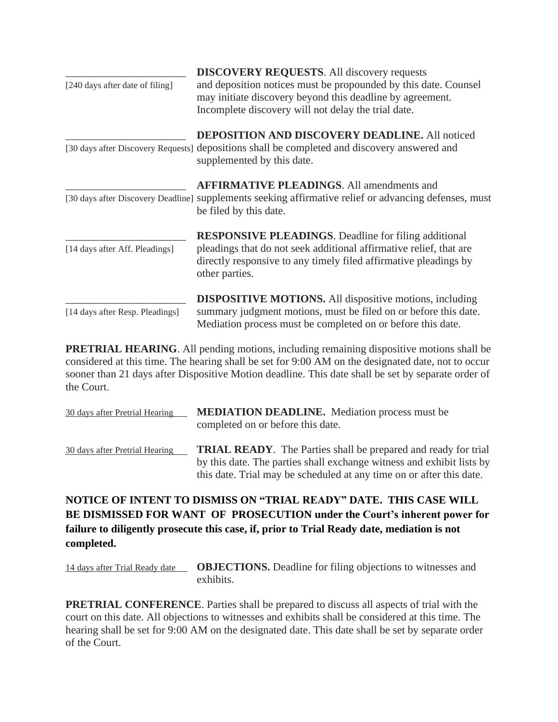|                                 | <b>DISCOVERY REQUESTS.</b> All discovery requests                                                                                                                                                                       |
|---------------------------------|-------------------------------------------------------------------------------------------------------------------------------------------------------------------------------------------------------------------------|
| [240 days after date of filing] | and deposition notices must be propounded by this date. Counsel<br>may initiate discovery beyond this deadline by agreement.<br>Incomplete discovery will not delay the trial date.                                     |
|                                 | <b>DEPOSITION AND DISCOVERY DEADLINE.</b> All noticed<br>[30 days after Discovery Requests] depositions shall be completed and discovery answered and<br>supplemented by this date.                                     |
|                                 | <b>AFFIRMATIVE PLEADINGS.</b> All amendments and<br>[30 days after Discovery Deadline] supplements seeking affirmative relief or advancing defenses, must<br>be filed by this date.                                     |
| [14 days after Aff. Pleadings]  | <b>RESPONSIVE PLEADINGS.</b> Deadline for filing additional<br>pleadings that do not seek additional affirmative relief, that are<br>directly responsive to any timely filed affirmative pleadings by<br>other parties. |
| [14 days after Resp. Pleadings] | <b>DISPOSITIVE MOTIONS.</b> All dispositive motions, including<br>summary judgment motions, must be filed on or before this date.<br>Mediation process must be completed on or before this date.                        |

**PRETRIAL HEARING**. All pending motions, including remaining dispositive motions shall be considered at this time. The hearing shall be set for 9:00 AM on the designated date, not to occur sooner than 21 days after Dispositive Motion deadline. This date shall be set by separate order of the Court.

| 30 days after Pretrial Hearing | <b>MEDIATION DEADLINE.</b> Mediation process must be<br>completed on or before this date.                                                                                                                              |
|--------------------------------|------------------------------------------------------------------------------------------------------------------------------------------------------------------------------------------------------------------------|
| 30 days after Pretrial Hearing | <b>TRIAL READY.</b> The Parties shall be prepared and ready for trial<br>by this date. The parties shall exchange witness and exhibit lists by<br>this date. Trial may be scheduled at any time on or after this date. |

## **NOTICE OF INTENT TO DISMISS ON "TRIAL READY" DATE. THIS CASE WILL BE DISMISSED FOR WANT OF PROSECUTION under the Court's inherent power for failure to diligently prosecute this case, if, prior to Trial Ready date, mediation is not completed.**

14 days after Trial Ready date **OBJECTIONS.** Deadline for filing objections to witnesses and exhibits.

**PRETRIAL CONFERENCE**. Parties shall be prepared to discuss all aspects of trial with the court on this date. All objections to witnesses and exhibits shall be considered at this time. The hearing shall be set for 9:00 AM on the designated date. This date shall be set by separate order of the Court.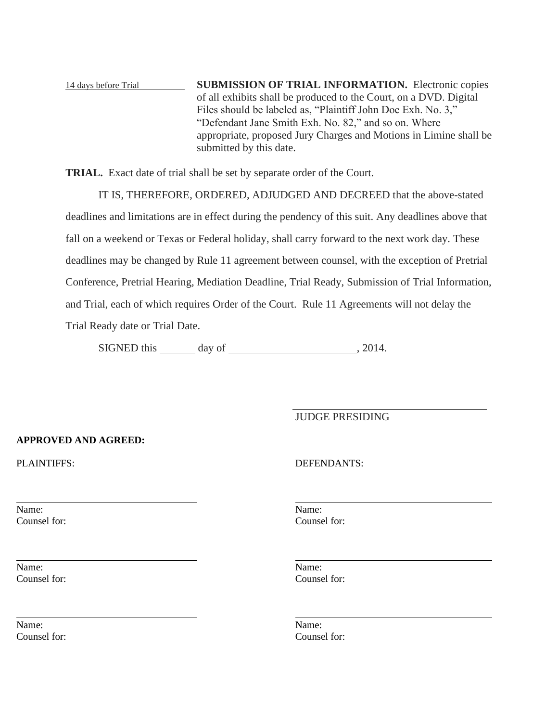14 days before Trial **SUBMISSION OF TRIAL INFORMATION.** Electronic copies of all exhibits shall be produced to the Court, on a DVD. Digital Files should be labeled as, "Plaintiff John Doe Exh. No. 3," "Defendant Jane Smith Exh. No. 82," and so on. Where appropriate, proposed Jury Charges and Motions in Limine shall be submitted by this date.

**TRIAL.** Exact date of trial shall be set by separate order of the Court.

IT IS, THEREFORE, ORDERED, ADJUDGED AND DECREED that the above-stated deadlines and limitations are in effect during the pendency of this suit. Any deadlines above that fall on a weekend or Texas or Federal holiday, shall carry forward to the next work day. These deadlines may be changed by Rule 11 agreement between counsel, with the exception of Pretrial Conference, Pretrial Hearing, Mediation Deadline, Trial Ready, Submission of Trial Information, and Trial, each of which requires Order of the Court. Rule 11 Agreements will not delay the Trial Ready date or Trial Date.

SIGNED this day of , 2014.

JUDGE PRESIDING

## **APPROVED AND AGREED:**

Name: Name: Counsel for: Counsel for:

Name: Name: Counsel for: Counsel for:

Name: Name: Counsel for: Counsel for:

PLAINTIFFS: DEFENDANTS: